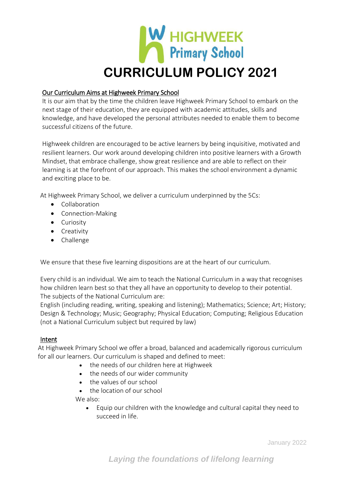

# Our Curriculum Aims at Highweek Primary School

It is our aim that by the time the children leave Highweek Primary School to embark on the next stage of their education, they are equipped with academic attitudes, skills and knowledge, and have developed the personal attributes needed to enable them to become successful citizens of the future.

Highweek children are encouraged to be active learners by being inquisitive, motivated and resilient learners. Our work around developing children into positive learners with a Growth Mindset, that embrace challenge, show great resilience and are able to reflect on their learning is at the forefront of our approach. This makes the school environment a dynamic and exciting place to be.

At Highweek Primary School, we deliver a curriculum underpinned by the 5Cs:

- Collaboration
- Connection-Making
- Curiosity
- Creativity
- Challenge

We ensure that these five learning dispositions are at the heart of our curriculum.

Every child is an individual. We aim to teach the National Curriculum in a way that recognises how children learn best so that they all have an opportunity to develop to their potential. The subjects of the National Curriculum are:

English (including reading, writing, speaking and listening); Mathematics; Science; Art; History; Design & Technology; Music; Geography; Physical Education; Computing; Religious Education (not a National Curriculum subject but required by law)

## Intent

At Highweek Primary School we offer a broad, balanced and academically rigorous curriculum for all our learners. Our curriculum is shaped and defined to meet:

- the needs of our children here at Highweek
- the needs of our wider community
- the values of our school
- the location of our school

We also:

• Equip our children with the knowledge and cultural capital they need to succeed in life.

January 2022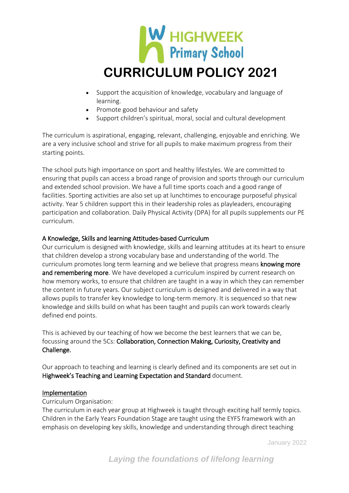

- Support the acquisition of knowledge, vocabulary and language of learning.
- Promote good behaviour and safety
- Support children's spiritual, moral, social and cultural development

The curriculum is aspirational, engaging, relevant, challenging, enjoyable and enriching. We are a very inclusive school and strive for all pupils to make maximum progress from their starting points.

The school puts high importance on sport and healthy lifestyles. We are committed to ensuring that pupils can access a broad range of provision and sports through our curriculum and extended school provision. We have a full time sports coach and a good range of facilities. Sporting activities are also set up at lunchtimes to encourage purposeful physical activity. Year 5 children support this in their leadership roles as playleaders, encouraging participation and collaboration. Daily Physical Activity (DPA) for all pupils supplements our PE curriculum.

## A Knowledge, Skills and learning Attitudes-based Curriculum

Our curriculum is designed with knowledge, skills and learning attitudes at its heart to ensure that children develop a strong vocabulary base and understanding of the world. The curriculum promotes long term learning and we believe that progress means knowing more and remembering more. We have developed a curriculum inspired by current research on how memory works, to ensure that children are taught in a way in which they can remember the content in future years. Our subject curriculum is designed and delivered in a way that allows pupils to transfer key knowledge to long-term memory. It is sequenced so that new knowledge and skills build on what has been taught and pupils can work towards clearly defined end points.

This is achieved by our teaching of how we become the best learners that we can be, focussing around the 5Cs: Collaboration, Connection Making, Curiosity, Creativity and Challenge.

Our approach to teaching and learning is clearly defined and its components are set out in Highweek's Teaching and Learning Expectation and Standard document.

## Implementation

## Curriculum Organisation:

The curriculum in each year group at Highweek is taught through exciting half termly topics. Children in the Early Years Foundation Stage are taught using the EYFS framework with an emphasis on developing key skills, knowledge and understanding through direct teaching

January 2022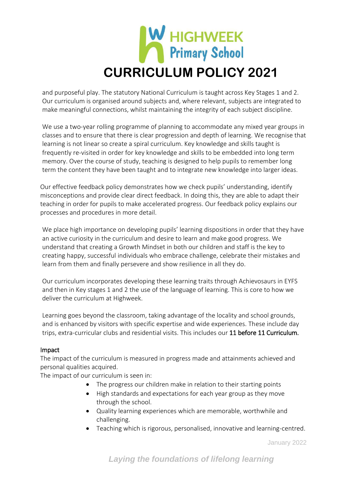

and purposeful play. The statutory National Curriculum is taught across Key Stages 1 and 2. Our curriculum is organised around subjects and, where relevant, subjects are integrated to make meaningful connections, whilst maintaining the integrity of each subject discipline.

We use a two-year rolling programme of planning to accommodate any mixed year groups in classes and to ensure that there is clear progression and depth of learning. We recognise that learning is not linear so create a spiral curriculum. Key knowledge and skills taught is frequently re-visited in order for key knowledge and skills to be embedded into long term memory. Over the course of study, teaching is designed to help pupils to remember long term the content they have been taught and to integrate new knowledge into larger ideas.

Our effective feedback policy demonstrates how we check pupils' understanding, identify misconceptions and provide clear direct feedback. In doing this, they are able to adapt their teaching in order for pupils to make accelerated progress. Our feedback policy explains our processes and procedures in more detail.

We place high importance on developing pupils' learning dispositions in order that they have an active curiosity in the curriculum and desire to learn and make good progress. We understand that creating a Growth Mindset in both our children and staff is the key to creating happy, successful individuals who embrace challenge, celebrate their mistakes and learn from them and finally persevere and show resilience in all they do.

Our curriculum incorporates developing these learning traits through Achievosaurs in EYFS and then in Key stages 1 and 2 the use of the language of learning. This is core to how we deliver the curriculum at Highweek.

Learning goes beyond the classroom, taking advantage of the locality and school grounds, and is enhanced by visitors with specific expertise and wide experiences. These include day trips, extra-curricular clubs and residential visits. This includes our 11 before 11 Curriculum.

## Impact

The impact of the curriculum is measured in progress made and attainments achieved and personal qualities acquired.

The impact of our curriculum is seen in:

- The progress our children make in relation to their starting points
- High standards and expectations for each year group as they move through the school.
- Quality learning experiences which are memorable, worthwhile and challenging.
- Teaching which is rigorous, personalised, innovative and learning-centred.

January 2022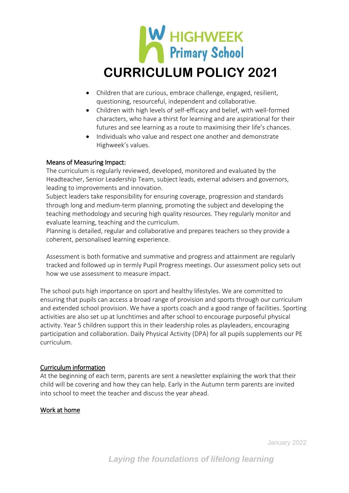

- Children that are curious, embrace challenge, engaged, resilient, questioning, resourceful, independent and collaborative.
- Children with high levels of self-efficacy and belief, with well-formed characters, who have a thirst for learning and are aspirational for their futures and see learning as a route to maximising their life's chances.
- Individuals who value and respect one another and demonstrate Highweek's values.

## Means of Measuring Impact:

The curriculum is regularly reviewed, developed, monitored and evaluated by the Headteacher, Senior Leadership Team, subject leads, external advisers and governors, leading to improvements and innovation.

Subject leaders take responsibility for ensuring coverage, progression and standards through long and medium-term planning, promoting the subject and developing the teaching methodology and securing high quality resources. They regularly monitor and evaluate learning, teaching and the curriculum.

Planning is detailed, regular and collaborative and prepares teachers so they provide a coherent, personalised learning experience.

Assessment is both formative and summative and progress and attainment are regularly tracked and followed up in termly Pupil Progress meetings. Our assessment policy sets out how we use assessment to measure impact.

The school puts high importance on sport and healthy lifestyles. We are committed to ensuring that pupils can access a broad range of provision and sports through our curriculum and extended school provision. We have a sports coach and a good range of facilities. Sporting activities are also set up at lunchtimes and after school to encourage purposeful physical activity. Year 5 children support this in their leadership roles as playleaders, encouraging participation and collaboration. Daily Physical Activity (DPA) for all pupils supplements our PE curriculum.

## Curriculum information

At the beginning of each term, parents are sent a newsletter explaining the work that their child will be covering and how they can help. Early in the Autumn term parents are invited into school to meet the teacher and discuss the year ahead.

#### Work at home

January 2022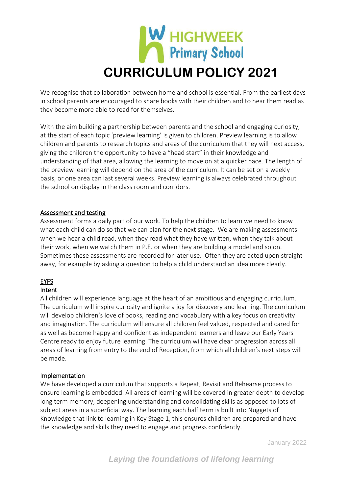

We recognise that collaboration between home and school is essential. From the earliest days in school parents are encouraged to share books with their children and to hear them read as they become more able to read for themselves.

With the aim building a partnership between parents and the school and engaging curiosity, at the start of each topic 'preview learning' is given to children. Preview learning is to allow children and parents to research topics and areas of the curriculum that they will next access, giving the children the opportunity to have a "head start" in their knowledge and understanding of that area, allowing the learning to move on at a quicker pace. The length of the preview learning will depend on the area of the curriculum. It can be set on a weekly basis, or one area can last several weeks. Preview learning is always celebrated throughout the school on display in the class room and corridors.

## Assessment and testing

Assessment forms a daily part of our work. To help the children to learn we need to know what each child can do so that we can plan for the next stage. We are making assessments when we hear a child read, when they read what they have written, when they talk about their work, when we watch them in P.E. or when they are building a model and so on. Sometimes these assessments are recorded for later use. Often they are acted upon straight away, for example by asking a question to help a child understand an idea more clearly.

# EYFS

## Intent

All children will experience language at the heart of an ambitious and engaging curriculum. The curriculum will inspire curiosity and ignite a joy for discovery and learning. The curriculum will develop children's love of books, reading and vocabulary with a key focus on creativity and imagination. The curriculum will ensure all children feel valued, respected and cared for as well as become happy and confident as independent learners and leave our Early Years Centre ready to enjoy future learning. The curriculum will have clear progression across all areas of learning from entry to the end of Reception, from which all children's next steps will be made.

#### Implementation

We have developed a curriculum that supports a Repeat, Revisit and Rehearse process to ensure learning is embedded. All areas of learning will be covered in greater depth to develop long term memory, deepening understanding and consolidating skills as opposed to lots of subject areas in a superficial way. The learning each half term is built into Nuggets of Knowledge that link to learning in Key Stage 1, this ensures children are prepared and have the knowledge and skills they need to engage and progress confidently.

January 2022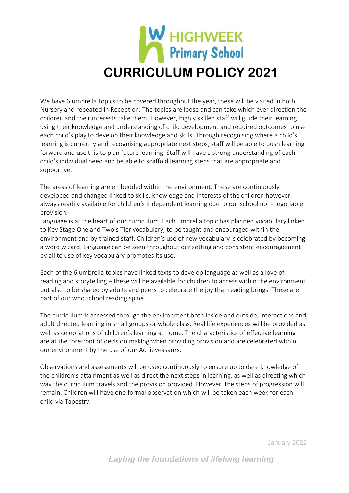

We have 6 umbrella topics to be covered throughout the year, these will be visited in both Nursery and repeated in Reception. The topics are loose and can take which ever direction the children and their interests take them. However, highly skilled staff will guide their learning using their knowledge and understanding of child development and required outcomes to use each child's play to develop their knowledge and skills. Through recognising where a child's learning is currently and recognising appropriate next steps, staff will be able to push learning forward and use this to plan future learning. Staff will have a strong understanding of each child's individual need and be able to scaffold learning steps that are appropriate and supportive.

The areas of learning are embedded within the environment. These are continuously developed and changed linked to skills, knowledge and interests of the children however always readily available for children's independent learning due to our school non-negotiable provision.

Language is at the heart of our curriculum. Each umbrella topic has planned vocabulary linked to Key Stage One and Two's Tier vocabulary, to be taught and encouraged within the environment and by trained staff. Children's use of new vocabulary is celebrated by becoming a word wizard. Language can be seen throughout our setting and consistent encouragement by all to use of key vocabulary promotes its use.

Each of the 6 umbrella topics have linked texts to develop language as well as a love of reading and storytelling – these will be available for children to access within the environment but also to be shared by adults and peers to celebrate the joy that reading brings. These are part of our who school reading spine.

The curriculum is accessed through the environment both inside and outside, interactions and adult directed learning in small groups or whole class. Real life experiences will be provided as well as celebrations of children's learning at home. The characteristics of effective learning are at the forefront of decision making when providing provision and are celebrated within our environment by the use of our Achieveasaurs.

Observations and assessments will be used continuously to ensure up to date knowledge of the children's attainment as well as direct the next steps in learning, as well as directing which way the curriculum travels and the provision provided. However, the steps of progression will remain. Children will have one formal observation which will be taken each week for each child via Tapestry.

January 2022